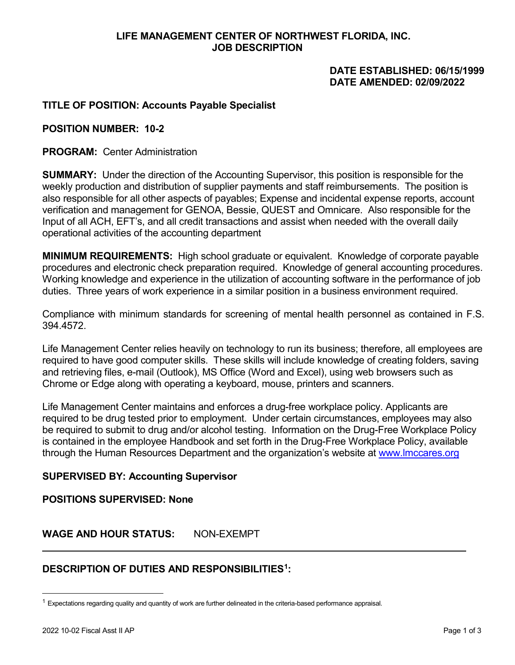# **LIFE MANAGEMENT CENTER OF NORTHWEST FLORIDA, INC. JOB DESCRIPTION**

## **DATE ESTABLISHED: 06/15/1999 DATE AMENDED: 02/09/2022**

# **TITLE OF POSITION: Accounts Payable Specialist**

#### **POSITION NUMBER: 10-2**

**PROGRAM:** Center Administration

**SUMMARY:** Under the direction of the Accounting Supervisor, this position is responsible for the weekly production and distribution of supplier payments and staff reimbursements. The position is also responsible for all other aspects of payables; Expense and incidental expense reports, account verification and management for GENOA, Bessie, QUEST and Omnicare. Also responsible for the Input of all ACH, EFT's, and all credit transactions and assist when needed with the overall daily operational activities of the accounting department

**MINIMUM REQUIREMENTS:** High school graduate or equivalent. Knowledge of corporate payable procedures and electronic check preparation required. Knowledge of general accounting procedures. Working knowledge and experience in the utilization of accounting software in the performance of job duties. Three years of work experience in a similar position in a business environment required.

Compliance with minimum standards for screening of mental health personnel as contained in F.S. 394.4572.

Life Management Center relies heavily on technology to run its business; therefore, all employees are required to have good computer skills. These skills will include knowledge of creating folders, saving and retrieving files, e-mail (Outlook), MS Office (Word and Excel), using web browsers such as Chrome or Edge along with operating a keyboard, mouse, printers and scanners.

Life Management Center maintains and enforces a drug-free workplace policy. Applicants are required to be drug tested prior to employment. Under certain circumstances, employees may also be required to submit to drug and/or alcohol testing. Information on the Drug-Free Workplace Policy is contained in the employee Handbook and set forth in the Drug-Free Workplace Policy, available through the Human Resources Department and the organization's website at [www.lmccares.org](http://www.lmccares.org/)

### **SUPERVISED BY: Accounting Supervisor**

#### **POSITIONS SUPERVISED: None**

### **WAGE AND HOUR STATUS:** NON-EXEMPT

### **DESCRIPTION OF DUTIES AND RESPONSIBILITIES[1](#page-0-0):**

<span id="page-0-0"></span> $1$  Expectations regarding quality and quantity of work are further delineated in the criteria-based performance appraisal.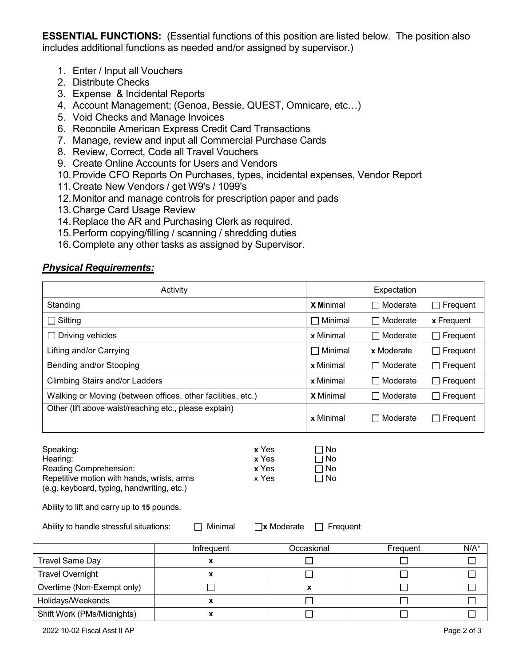**ESSENTIAL FUNCTIONS:** (Essential functions of this position are listed below. The position also includes additional functions as needed and/or assigned by supervisor.)

- 1. Enter / Input all Vouchers
- 2. Distribute Checks
- 3. Expense & Incidental Reports
- 4. Account Management; (Genoa, Bessie, QUEST, Omnicare, etc…)
- 5. Void Checks and Manage Invoices
- 6. Reconcile American Express Credit Card Transactions
- 7. Manage, review and input all Commercial Purchase Cards
- 8. Review, Correct, Code all Travel Vouchers
- 9. Create Online Accounts for Users and Vendors
- 10.Provide CFO Reports On Purchases, types, incidental expenses, Vendor Report
- 11.Create New Vendors / get W9's / 1099's
- 12.Monitor and manage controls for prescription paper and pads
- 13.Charge Card Usage Review
- 14.Replace the AR and Purchasing Clerk as required.
- 15.Perform copying/filling / scanning / shredding duties
- 16.Complete any other tasks as assigned by Supervisor.

### *Physical Requirements:*

| Activity                                                                                                                                                                                                                                                                                                                                                                 |            |  | Expectation      |                             |                 |         |
|--------------------------------------------------------------------------------------------------------------------------------------------------------------------------------------------------------------------------------------------------------------------------------------------------------------------------------------------------------------------------|------------|--|------------------|-----------------------------|-----------------|---------|
| Standing                                                                                                                                                                                                                                                                                                                                                                 |            |  | <b>X Minimal</b> | $\Box$ Moderate             | $\Box$ Frequent |         |
| Sitting                                                                                                                                                                                                                                                                                                                                                                  |            |  | Minimal          | ヿ Moderate                  | x Frequent      |         |
| Driving vehicles                                                                                                                                                                                                                                                                                                                                                         |            |  | x Minimal        | $\Box$ Moderate             | $\Box$ Frequent |         |
| Lifting and/or Carrying                                                                                                                                                                                                                                                                                                                                                  |            |  | Minimal          | x Moderate                  | $\Box$ Frequent |         |
| Bending and/or Stooping                                                                                                                                                                                                                                                                                                                                                  |            |  | x Minimal        | □ Moderate                  | $\Box$ Frequent |         |
| <b>Climbing Stairs and/or Ladders</b>                                                                                                                                                                                                                                                                                                                                    |            |  | x Minimal        | ヿ Moderate                  | $\Box$ Frequent |         |
| Walking or Moving (between offices, other facilities, etc.)                                                                                                                                                                                                                                                                                                              |            |  | <b>X</b> Minimal | ヿ Moderate                  | $\Box$ Frequent |         |
| Other (lift above waist/reaching etc., please explain)                                                                                                                                                                                                                                                                                                                   |            |  | x Minimal        | ] Moderate                  | Frequent        |         |
| Speaking:<br>x Yes<br>$\Box$ No<br>x Yes<br>$\Box$ No<br>Hearing:<br>Reading Comprehension:<br>x Yes<br>$\Box$ No<br>Repetitive motion with hands, wrists, arms<br>x Yes<br>$\Box$ No<br>(e.g. keyboard, typing, handwriting, etc.)<br>Ability to lift and carry up to 15 pounds.<br>Ability to handle stressful situations:<br>Minimal<br>$\neg$ x Moderate<br>Frequent |            |  |                  |                             |                 |         |
|                                                                                                                                                                                                                                                                                                                                                                          | Infrequent |  | Occasional       | Frequent                    |                 | $N/A^*$ |
| <b>Travel Same Day</b>                                                                                                                                                                                                                                                                                                                                                   | X          |  |                  |                             |                 |         |
| <b>Travel Overnight</b>                                                                                                                                                                                                                                                                                                                                                  | X          |  | ┓                | $\mathcal{L}_{\mathcal{A}}$ |                 | $\Box$  |
| Overtime (Non-Exempt only)                                                                                                                                                                                                                                                                                                                                               | $\Box$     |  | X                | $\Box$                      |                 | $\Box$  |
| Holidays/Weekends                                                                                                                                                                                                                                                                                                                                                        | X          |  |                  | $\overline{\phantom{a}}$    |                 | $\Box$  |
| Shift Work (PMs/Midnights)                                                                                                                                                                                                                                                                                                                                               | X          |  |                  | J.                          |                 | $\Box$  |
| 2022 10-02 Fiscal Asst II AP                                                                                                                                                                                                                                                                                                                                             |            |  |                  |                             | Page 2 of 3     |         |